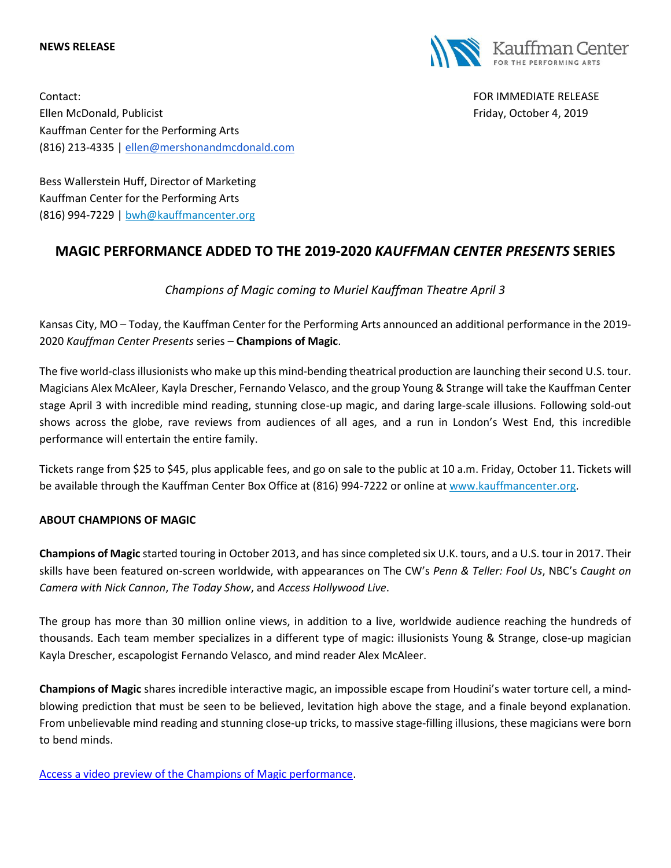#### **NEWS RELEASE**



Contact: FOR IMMEDIATE RELEASE Ellen McDonald, Publicist Friday, October 4, 2019 Kauffman Center for the Performing Arts (816) 213-4335 | [ellen@mershonandmcdonald.com](mailto:ellen@mershonandmcdonald.com)

Bess Wallerstein Huff, Director of Marketing Kauffman Center for the Performing Arts (816) 994-7229 | [bwh@kauffmancenter.org](mailto:bwh@kauffmancenter.org)

# **MAGIC PERFORMANCE ADDED TO THE 2019-2020** *KAUFFMAN CENTER PRESENTS* **SERIES**

*Champions of Magic coming to Muriel Kauffman Theatre April 3*

Kansas City, MO – Today, the Kauffman Center for the Performing Arts announced an additional performance in the 2019- 2020 *Kauffman Center Presents* series – **Champions of Magic**.

The five world-class illusionists who make up this mind-bending theatrical production are launching their second U.S. tour. Magicians Alex McAleer, Kayla Drescher, Fernando Velasco, and the group Young & Strange will take the Kauffman Center stage April 3 with incredible mind reading, stunning close-up magic, and daring large-scale illusions. Following sold-out shows across the globe, rave reviews from audiences of all ages, and a run in London's West End, this incredible performance will entertain the entire family.

Tickets range from \$25 to \$45, plus applicable fees, and go on sale to the public at 10 a.m. Friday, October 11. Tickets will be available through the Kauffman Center Box Office at (816) 994-7222 or online at [www.kauffmancenter.org.](http://www.kauffmancenter.org/)

#### **ABOUT CHAMPIONS OF MAGIC**

**Champions of Magic** started touring in October 2013, and has since completed six U.K. tours, and a U.S. tour in 2017. Their skills have been featured on-screen worldwide, with appearances on The CW's *Penn & Teller: Fool Us*, NBC's *Caught on Camera with Nick Cannon*, *The Today Show*, and *Access Hollywood Live*.

The group has more than 30 million online views, in addition to a live, worldwide audience reaching the hundreds of thousands. Each team member specializes in a different type of magic: illusionists Young & Strange, close-up magician Kayla Drescher, escapologist Fernando Velasco, and mind reader Alex McAleer.

**Champions of Magic** shares incredible interactive magic, an impossible escape from Houdini's water torture cell, a mindblowing prediction that must be seen to be believed, levitation high above the stage, and a finale beyond explanation. From unbelievable mind reading and stunning close-up tricks, to massive stage-filling illusions, these magicians were born to bend minds.

Access a video [preview of the Champions of Magic performance.](https://vimeo.com/259586000)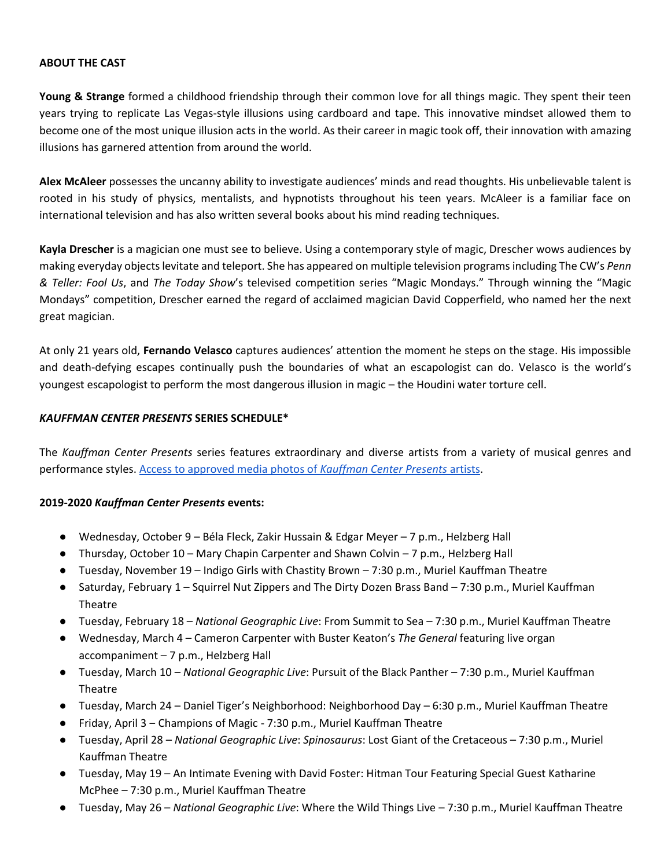#### **ABOUT THE CAST**

**Young & Strange** formed a childhood friendship through their common love for all things magic. They spent their teen years trying to replicate Las Vegas-style illusions using cardboard and tape. This innovative mindset allowed them to become one of the most unique illusion acts in the world. As their career in magic took off, their innovation with amazing illusions has garnered attention from around the world.

**Alex McAleer** possesses the uncanny ability to investigate audiences' minds and read thoughts. His unbelievable talent is rooted in his study of physics, mentalists, and hypnotists throughout his teen years. McAleer is a familiar face on international television and has also written several books about his mind reading techniques.

**Kayla Drescher** is a magician one must see to believe. Using a contemporary style of magic, Drescher wows audiences by making everyday objects levitate and teleport. She has appeared on multiple television programsincluding The CW's *Penn & Teller: Fool Us*, and *The Today Show*'s televised competition series "Magic Mondays." Through winning the "Magic Mondays" competition, Drescher earned the regard of acclaimed magician David Copperfield, who named her the next great magician.

At only 21 years old, **Fernando Velasco** captures audiences' attention the moment he steps on the stage. His impossible and death-defying escapes continually push the boundaries of what an escapologist can do. Velasco is the world's youngest escapologist to perform the most dangerous illusion in magic – the Houdini water torture cell.

### *KAUFFMAN CENTER PRESENTS* **SERIES SCHEDULE\***

The *Kauffman Center Presents* series features extraordinary and diverse artists from a variety of musical genres and performance styles. [Access to approved media photos of](https://www.flickr.com/photos/kauffmancenter/sets/72157709544164312/) *Kauffman Center Presents* artists.

#### **2019-2020** *Kauffman Center Presents* **events:**

- Wednesday, October 9 Béla Fleck, Zakir Hussain & Edgar Meyer 7 p.m., Helzberg Hall
- Thursday, October 10 Mary Chapin Carpenter and Shawn Colvin 7 p.m., Helzberg Hall
- Tuesday, November 19 Indigo Girls with Chastity Brown 7:30 p.m., Muriel Kauffman Theatre
- Saturday, February 1 Squirrel Nut Zippers and The Dirty Dozen Brass Band 7:30 p.m., Muriel Kauffman Theatre
- Tuesday, February 18 *National Geographic Live*: From Summit to Sea 7:30 p.m., Muriel Kauffman Theatre
- Wednesday, March 4 Cameron Carpenter with Buster Keaton's *The General* featuring live organ accompaniment – 7 p.m., Helzberg Hall
- Tuesday, March 10 *National Geographic Live*: Pursuit of the Black Panther 7:30 p.m., Muriel Kauffman Theatre
- Tuesday, March 24 Daniel Tiger's Neighborhood: Neighborhood Day 6:30 p.m., Muriel Kauffman Theatre
- Friday, April 3 Champions of Magic 7:30 p.m., Muriel Kauffman Theatre
- Tuesday, April 28 *National Geographic Live*: *Spinosaurus*: Lost Giant of the Cretaceous 7:30 p.m., Muriel Kauffman Theatre
- Tuesday, May 19 An Intimate Evening with David Foster: Hitman Tour Featuring Special Guest Katharine McPhee – 7:30 p.m., Muriel Kauffman Theatre
- Tuesday, May 26 *National Geographic Live*: Where the Wild Things Live 7:30 p.m., Muriel Kauffman Theatre